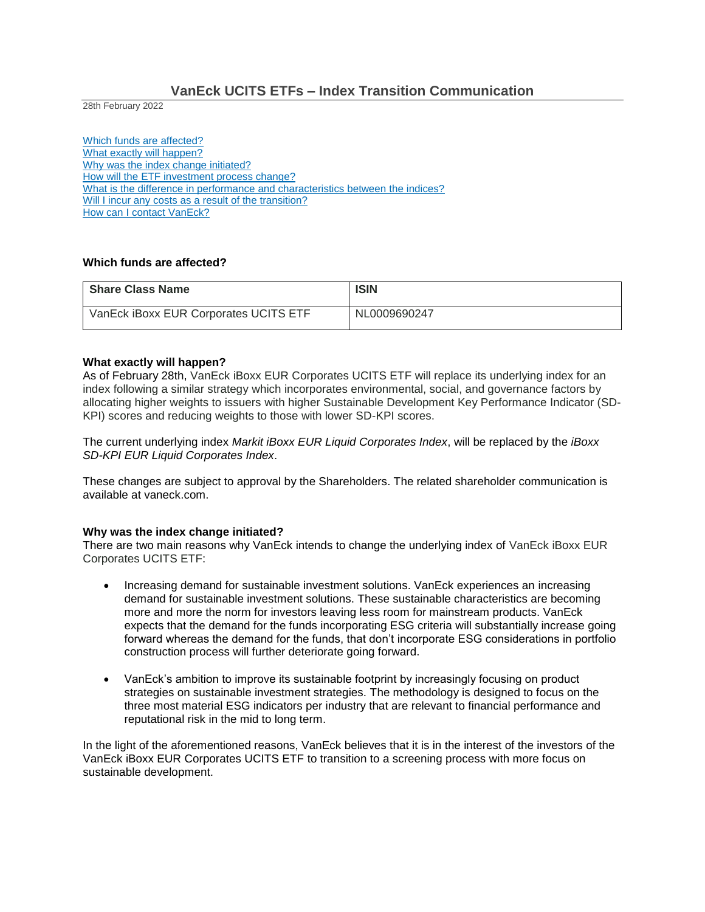# **VanEck UCITS ETFs – Index Transition Communication**

28th February 2022

Which funds are affected? What exactly will happen? Why was the index change initiated? How will the ETF investment process change? What is the difference in performance and characteristics between the indices? Will I incur any costs as a result of the transition? How can I contact VanEck?

# **Which funds are affected?**

| <b>Share Class Name</b>               | <b>ISIN</b>  |
|---------------------------------------|--------------|
| VanEck iBoxx EUR Corporates UCITS ETF | NL0009690247 |

### **What exactly will happen?**

As of February 28th, VanEck iBoxx EUR Corporates UCITS ETF will replace its underlying index for an index following a similar strategy which incorporates environmental, social, and governance factors by allocating higher weights to issuers with higher Sustainable Development Key Performance Indicator (SD-KPI) scores and reducing weights to those with lower SD-KPI scores.

The current underlying index *Markit iBoxx EUR Liquid Corporates Index*, will be replaced by the *iBoxx SD-KPI EUR Liquid Corporates Index*.

These changes are subject to approval by the Shareholders. The related shareholder communication is available at vaneck.com.

#### **Why was the index change initiated?**

There are two main reasons why VanEck intends to change the underlying index of VanEck iBoxx EUR Corporates UCITS ETF:

- Increasing demand for sustainable investment solutions. VanEck experiences an increasing demand for sustainable investment solutions. These sustainable characteristics are becoming more and more the norm for investors leaving less room for mainstream products. VanEck expects that the demand for the funds incorporating ESG criteria will substantially increase going forward whereas the demand for the funds, that don't incorporate ESG considerations in portfolio construction process will further deteriorate going forward.
- VanEck's ambition to improve its sustainable footprint by increasingly focusing on product strategies on sustainable investment strategies. The methodology is designed to focus on the three most material ESG indicators per industry that are relevant to financial performance and reputational risk in the mid to long term.

In the light of the aforementioned reasons, VanEck believes that it is in the interest of the investors of the VanEck iBoxx EUR Corporates UCITS ETF to transition to a screening process with more focus on sustainable development.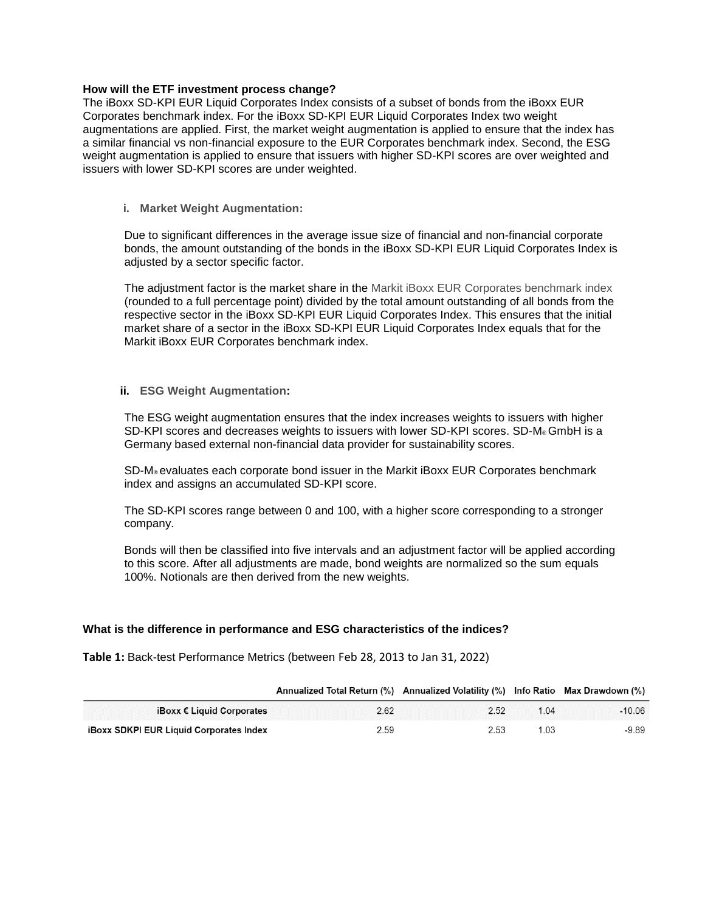### **How will the ETF investment process change?**

The iBoxx SD-KPI EUR Liquid Corporates Index consists of a subset of bonds from the iBoxx EUR Corporates benchmark index. For the iBoxx SD-KPI EUR Liquid Corporates Index two weight augmentations are applied. First, the market weight augmentation is applied to ensure that the index has a similar financial vs non-financial exposure to the EUR Corporates benchmark index. Second, the ESG weight augmentation is applied to ensure that issuers with higher SD-KPI scores are over weighted and issuers with lower SD-KPI scores are under weighted.

**i. Market Weight Augmentation:** 

Due to significant differences in the average issue size of financial and non-financial corporate bonds, the amount outstanding of the bonds in the iBoxx SD-KPI EUR Liquid Corporates Index is adjusted by a sector specific factor.

The adjustment factor is the market share in the Markit iBoxx EUR Corporates benchmark index (rounded to a full percentage point) divided by the total amount outstanding of all bonds from the respective sector in the iBoxx SD-KPI EUR Liquid Corporates Index. This ensures that the initial market share of a sector in the iBoxx SD-KPI EUR Liquid Corporates Index equals that for the Markit iBoxx EUR Corporates benchmark index.

## **ii. ESG Weight Augmentation:**

The ESG weight augmentation ensures that the index increases weights to issuers with higher SD-KPI scores and decreases weights to issuers with lower SD-KPI scores. SD-M® GmbH is a Germany based external non-financial data provider for sustainability scores.

SD-M® evaluates each corporate bond issuer in the Markit iBoxx EUR Corporates benchmark index and assigns an accumulated SD-KPI score.

The SD-KPI scores range between 0 and 100, with a higher score corresponding to a stronger company.

Bonds will then be classified into five intervals and an adjustment factor will be applied according to this score. After all adjustments are made, bond weights are normalized so the sum equals 100%. Notionals are then derived from the new weights.

# **What is the difference in performance and ESG characteristics of the indices?**

**Table 1:** Back-test Performance Metrics (between Feb 28, 2013 to Jan 31, 2022)

|                                                | Annualized Total Return (%) Annualized Volatility (%) Info Ratio Max Drawdown (%) |      |      |          |
|------------------------------------------------|-----------------------------------------------------------------------------------|------|------|----------|
| iBoxx € Liquid Corporates                      | 2.62                                                                              | 2.52 | 1.04 | $-10.06$ |
| <b>iBoxx SDKPI EUR Liquid Corporates Index</b> | 2.59                                                                              | 2.53 | .03  | -9.89    |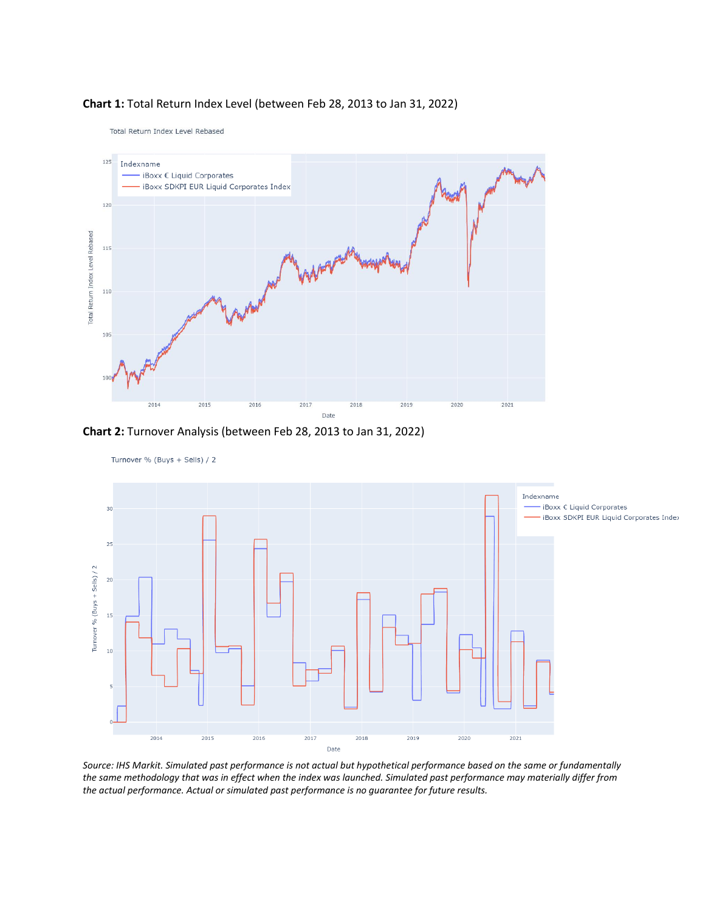

## **Chart 1:** Total Return Index Level (between Feb 28, 2013 to Jan 31, 2022)

Total Return Index Level Rebased

**Chart 2:** Turnover Analysis (between Feb 28, 2013 to Jan 31, 2022)



*Source: IHS Markit. Simulated past performance is not actual but hypothetical performance based on the same or fundamentally the same methodology that was in effect when the index was launched. Simulated past performance may materially differ from the actual performance. Actual or simulated past performance is no guarantee for future results.*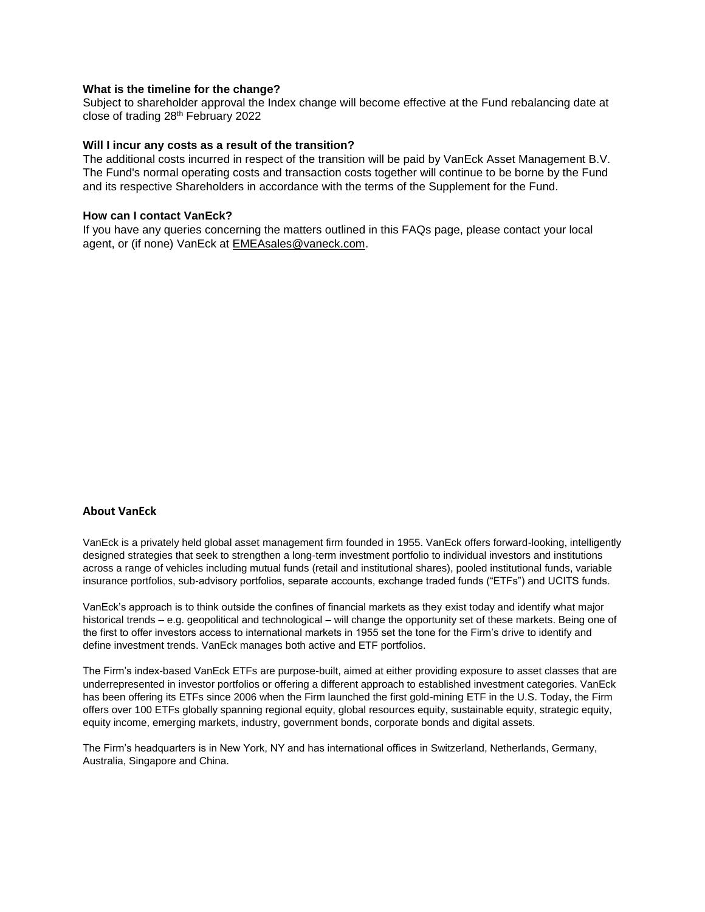#### **What is the timeline for the change?**

Subject to shareholder approval the Index change will become effective at the Fund rebalancing date at close of trading 28th February 2022

#### **Will I incur any costs as a result of the transition?**

The additional costs incurred in respect of the transition will be paid by VanEck Asset Management B.V. The Fund's normal operating costs and transaction costs together will continue to be borne by the Fund and its respective Shareholders in accordance with the terms of the Supplement for the Fund.

### **How can I contact VanEck?**

If you have any queries concerning the matters outlined in this FAQs page, please contact your local agent, or (if none) VanEck at [EMEAsales@vaneck.com.](mailto:EMEAsales@vaneck.com)

### **About VanEck**

VanEck is a privately held global asset management firm founded in 1955. VanEck offers forward-looking, intelligently designed strategies that seek to strengthen a long-term investment portfolio to individual investors and institutions across a range of vehicles including mutual funds (retail and institutional shares), pooled institutional funds, variable insurance portfolios, sub-advisory portfolios, separate accounts, exchange traded funds ("ETFs") and UCITS funds.

VanEck's approach is to think outside the confines of financial markets as they exist today and identify what major historical trends – e.g. geopolitical and technological – will change the opportunity set of these markets. Being one of the first to offer investors access to international markets in 1955 set the tone for the Firm's drive to identify and define investment trends. VanEck manages both active and ETF portfolios.

The Firm's index-based VanEck ETFs are purpose-built, aimed at either providing exposure to asset classes that are underrepresented in investor portfolios or offering a different approach to established investment categories. VanEck has been offering its ETFs since 2006 when the Firm launched the first gold-mining ETF in the U.S. Today, the Firm offers over 100 ETFs globally spanning regional equity, global resources equity, sustainable equity, strategic equity, equity income, emerging markets, industry, government bonds, corporate bonds and digital assets.

The Firm's headquarters is in New York, NY and has international offices in Switzerland, Netherlands, Germany, Australia, Singapore and China.